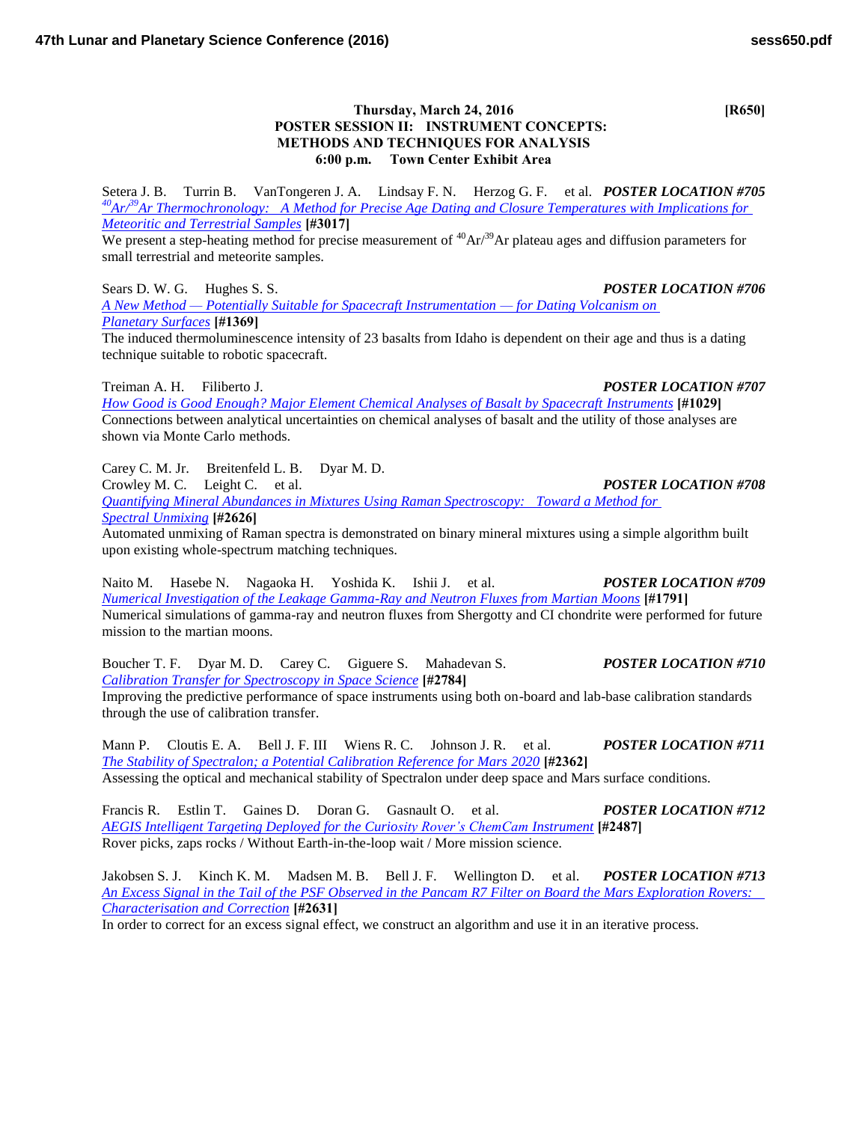## **Thursday, March 24, 2016 [R650] POSTER SESSION II: INSTRUMENT CONCEPTS: METHODS AND TECHNIQUES FOR ANALYSIS 6:00 p.m. Town Center Exhibit Area**

Setera J. B. Turrin B. VanTongeren J. A. Lindsay F. N. Herzog G. F. et al. *POSTER LOCATION #705 <sup>40</sup>Ar/<sup>39</sup>[Ar Thermochronology: A Method for Precise Age Dating and Closure Temperatures with Implications for](http://www.hou.usra.edu/meetings/lpsc2016/pdf/3017.pdf)  [Meteoritic and Terrestrial Samples](http://www.hou.usra.edu/meetings/lpsc2016/pdf/3017.pdf)* **[#3017]**

We present a step-heating method for precise measurement of  $^{40}Ar^{39}Ar$  plateau ages and diffusion parameters for small terrestrial and meteorite samples.

Sears D. W. G. Hughes S. S. *POSTER LOCATION #706 [A New Method — Potentially Suitable for Spacecraft Instrumentation — for Dating Volcanism on](http://www.hou.usra.edu/meetings/lpsc2016/pdf/1369.pdf)  [Planetary Surfaces](http://www.hou.usra.edu/meetings/lpsc2016/pdf/1369.pdf)* **[#1369]**

The induced thermoluminescence intensity of 23 basalts from Idaho is dependent on their age and thus is a dating technique suitable to robotic spacecraft.

Treiman A. H. Filiberto J. *POSTER LOCATION #707 [How Good is Good Enough? Major Element Chemical Analyses of Basalt by Spacecraft Instruments](http://www.hou.usra.edu/meetings/lpsc2016/pdf/1029.pdf)* **[#1029]** Connections between analytical uncertainties on chemical analyses of basalt and the utility of those analyses are shown via Monte Carlo methods.

Carey C. M. Jr. Breitenfeld L. B. Dyar M. D.

Crowley M. C. Leight C. et al. *POSTER LOCATION #708 [Quantifying Mineral Abundances in Mixtures Using Raman Spectroscopy: Toward a Method for](http://www.hou.usra.edu/meetings/lpsc2016/pdf/2626.pdf)  [Spectral Unmixing](http://www.hou.usra.edu/meetings/lpsc2016/pdf/2626.pdf)* **[#2626]**

Automated unmixing of Raman spectra is demonstrated on binary mineral mixtures using a simple algorithm built upon existing whole-spectrum matching techniques.

Naito M. Hasebe N. Nagaoka H. Yoshida K. Ishii J. et al. *POSTER LOCATION #709 [Numerical Investigation of the Leakage Gamma-Ray and Neutron Fluxes from Martian Moons](http://www.hou.usra.edu/meetings/lpsc2016/pdf/1791.pdf)* **[#1791]** Numerical simulations of gamma-ray and neutron fluxes from Shergotty and CI chondrite were performed for future mission to the martian moons.

Boucher T. F. Dyar M. D. Carey C. Giguere S. Mahadevan S. *POSTER LOCATION #710 [Calibration Transfer for Spectroscopy in Space Science](http://www.hou.usra.edu/meetings/lpsc2016/pdf/2784.pdf)* **[#2784]** Improving the predictive performance of space instruments using both on-board and lab-base calibration standards through the use of calibration transfer.

Mann P. Cloutis E. A. Bell J. F. III Wiens R. C. Johnson J. R. et al. *POSTER LOCATION #711 [The Stability of Spectralon; a Potential Calibration Reference for Mars 2020](http://www.hou.usra.edu/meetings/lpsc2016/pdf/2362.pdf)* **[#2362]** Assessing the optical and mechanical stability of Spectralon under deep space and Mars surface conditions.

Francis R. Estlin T. Gaines D. Doran G. Gasnault O. et al. *POSTER LOCATION #712 [AEGIS Intelligent Targeting Deployed for the Curiosity Rover's ChemCam Instrument](http://www.hou.usra.edu/meetings/lpsc2016/pdf/2487.pdf)* **[#2487]** Rover picks, zaps rocks / Without Earth-in-the-loop wait / More mission science.

Jakobsen S. J. Kinch K. M. Madsen M. B. Bell J. F. Wellington D. et al. *POSTER LOCATION #713 [An Excess Signal in the Tail of the PSF Observed in the Pancam R7 Filter on Board the Mars Exploration Rovers:](http://www.hou.usra.edu/meetings/lpsc2016/pdf/2631.pdf)  [Characterisation and Correction](http://www.hou.usra.edu/meetings/lpsc2016/pdf/2631.pdf)* **[#2631]**

In order to correct for an excess signal effect, we construct an algorithm and use it in an iterative process.